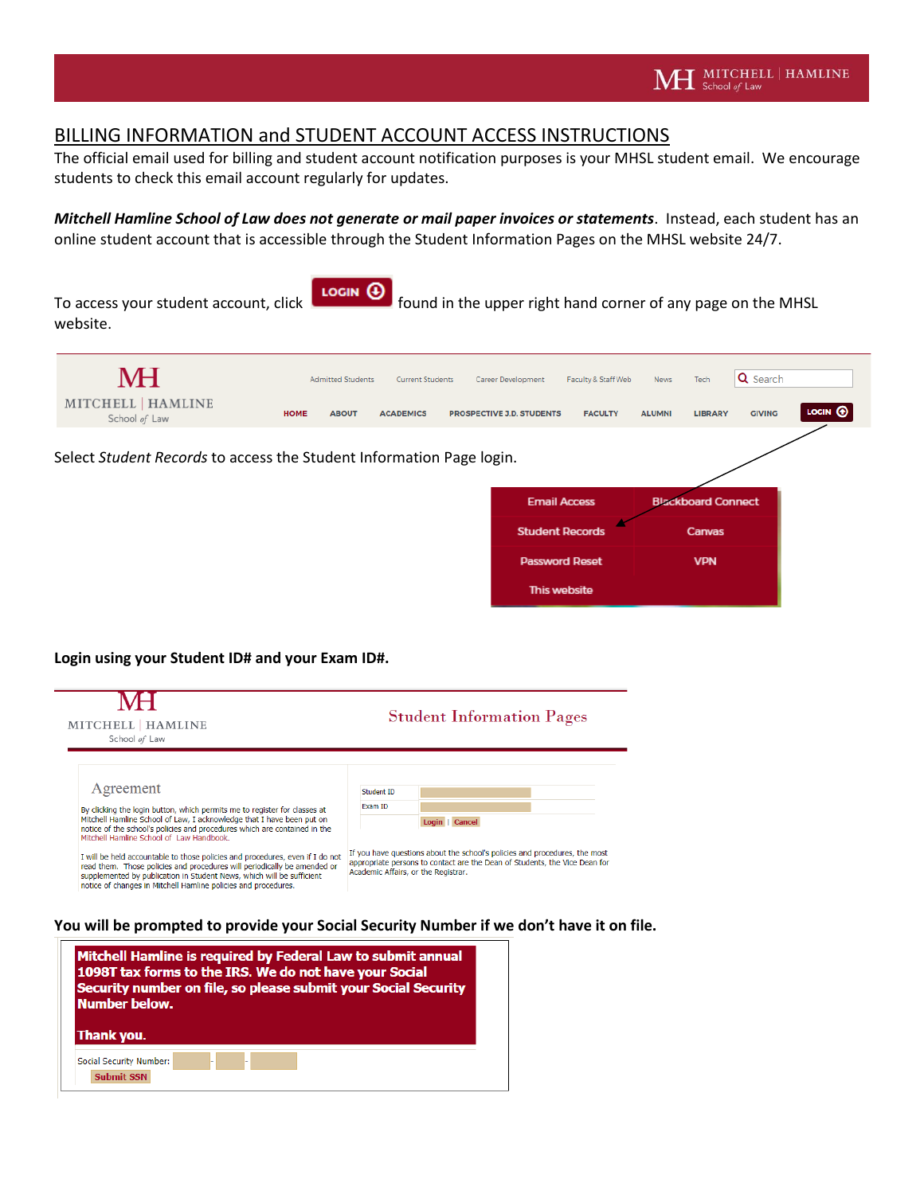## BILLING INFORMATION and STUDENT ACCOUNT ACCESS INSTRUCTIONS

The official email used for billing and student account notification purposes is your MHSL student email. We encourage students to check this email account regularly for updates.

*Mitchell Hamline School of Law does not generate or mail paper invoices or statements*. Instead, each student has an online student account that is accessible through the Student Information Pages on the MHSL website 24/7.

To access your student account, click  $\begin{bmatrix} \text{locin} \ \theta \\ \text{found in the upper right hand corner of any page on the MHSL} \end{bmatrix}$ website.



Select *Student Records* to access the Student Information Page login.

| …יה                    |                           |
|------------------------|---------------------------|
| <b>Email Access</b>    | <b>Blackboard Connect</b> |
| <b>Student Records</b> | Canvas                    |
| <b>Password Reset</b>  | <b>VPN</b>                |
| This website           |                           |

**Login using your Student ID# and your Exam ID#.** 

| MITCHELL   HAMLINE<br>School of Law |                                                                                                                                                                                                                                                                                                      | <b>Student Information Pages</b>                                                                                                                                                                |                       |              |  |
|-------------------------------------|------------------------------------------------------------------------------------------------------------------------------------------------------------------------------------------------------------------------------------------------------------------------------------------------------|-------------------------------------------------------------------------------------------------------------------------------------------------------------------------------------------------|-----------------------|--------------|--|
|                                     | Agreement<br>By clicking the login button, which permits me to register for classes at<br>Mitchell Hamline School of Law, I acknowledge that I have been put on<br>notice of the school's policies and procedures which are contained in the<br>Mitchell Hamline School of Law Handbook.             |                                                                                                                                                                                                 | Student ID<br>Exam ID | Login Cancel |  |
|                                     | I will be held accountable to those policies and procedures, even if I do not<br>read them. Those policies and procedures will periodically be amended or<br>supplemented by publication in Student News, which will be sufficient<br>notice of changes in Mitchell Hamline policies and procedures. | If you have questions about the school's policies and procedures, the most<br>appropriate persons to contact are the Dean of Students, the Vice Dean for<br>Academic Affairs, or the Registrar. |                       |              |  |

**You will be prompted to provide your Social Security Number if we don't have it on file.**

| Mitchell Hamline is required by Federal Law to submit annual<br>1098T tax forms to the IRS. We do not have your Social<br>Security number on file, so please submit your Social Security |  |  |  |  |  |
|------------------------------------------------------------------------------------------------------------------------------------------------------------------------------------------|--|--|--|--|--|
| Number below.<br>Thank you.<br>Social Security Number:                                                                                                                                   |  |  |  |  |  |
| <b>Submit SSN</b>                                                                                                                                                                        |  |  |  |  |  |